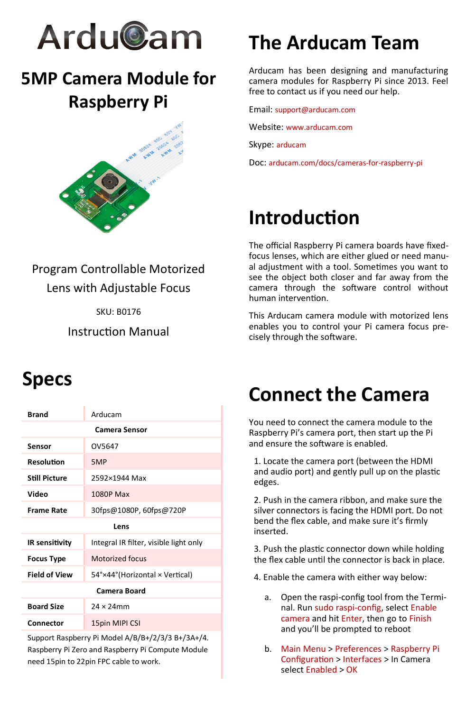

### **5MP Camera Module for Raspberry Pi**



### Program Controllable Motorized Lens with Adjustable Focus

SKU: B0176

Instruction Manual

# **The Arducam Team**

Arducam has been designing and manufacturing camera modules for Raspberry Pi since 2013. Feel free to contact us if you need our help.

Email: support@arducam.com

Website: www.arducam.com

Skype: arducam

Doc: arducam.com/docs/cameras-for-raspberry-pi

# **Introduction**

The official Raspberry Pi camera boards have fixedfocus lenses, which are either glued or need manual adjustment with a tool. Sometimes you want to see the object both closer and far away from the camera through the software control without human intervention.

This Arducam camera module with motorized lens enables you to control your Pi camera focus precisely through the software.

### **Specs**

| <b>Brand</b>         | Arducam                                |
|----------------------|----------------------------------------|
| <b>Camera Sensor</b> |                                        |
| Sensor               | OV5647                                 |
| Resolution           | 5MP                                    |
| <b>Still Picture</b> | 2592×1944 Max                          |
| Video                | 1080P Max                              |
| <b>Frame Rate</b>    | 30fps@1080P, 60fps@720P                |
| Lens                 |                                        |
| IR sensitivity       | Integral IR filter, visible light only |
| <b>Focus Type</b>    | Motorized focus                        |
| <b>Field of View</b> | 54°×44° (Horizontal × Vertical)        |
| <b>Camera Board</b>  |                                        |
| <b>Board Size</b>    | $24 \times 24$ mm                      |
| Connector            | 15pin MIPI CSI                         |

Support Raspberry Pi Model A/B/B+/2/3/3 B+/3A+/4. Raspberry Pi Zero and Raspberry Pi Compute Module need 15pin to 22pin FPC cable to work.

# **Connect the Camera**

You need to connect the camera module to the Raspberry Pi's camera port, then start up the Pi and ensure the software is enabled.

1. Locate the camera port (between the HDMI and audio port) and gently pull up on the plastic edges.

2. Push in the camera ribbon, and make sure the silver connectors is facing the HDMI port. Do not bend the flex cable, and make sure it's firmly inserted.

3. Push the plastic connector down while holding the flex cable until the connector is back in place.

- 4. Enable the camera with either way below:
	- a. Open the raspi-config tool from the Terminal. Run sudo raspi-config, select Enable camera and hit Enter, then go to Finish and you'll be prompted to reboot
	- b. Main Menu > Preferences > Raspberry Pi Configuration > Interfaces > In Camera select Enabled > OK